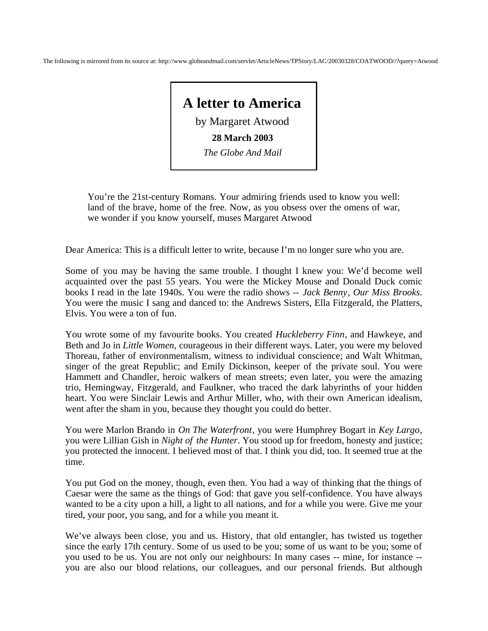The following is mirrored from its source at: http://www.globeandmail.com/servlet/ArticleNews/TPStory/LAC/20030328/COATWOOD//?query=Atwood



You're the 21st-century Romans. Your admiring friends used to know you well: land of the brave, home of the free. Now, as you obsess over the omens of war, we wonder if you know yourself, muses Margaret Atwood

Dear America: This is a difficult letter to write, because I'm no longer sure who you are.

Some of you may be having the same trouble. I thought I knew you: We'd become well acquainted over the past 55 years. You were the Mickey Mouse and Donald Duck comic books I read in the late 1940s. You were the radio shows -- *Jack Benny*, *Our Miss Brooks.* You were the music I sang and danced to: the Andrews Sisters, Ella Fitzgerald, the Platters, Elvis. You were a ton of fun.

You wrote some of my favourite books. You created *Huckleberry Finn*, and Hawkeye, and Beth and Jo in *Little Women*, courageous in their different ways. Later, you were my beloved Thoreau, father of environmentalism, witness to individual conscience; and Walt Whitman, singer of the great Republic; and Emily Dickinson, keeper of the private soul. You were Hammett and Chandler, heroic walkers of mean streets; even later, you were the amazing trio, Hemingway, Fitzgerald, and Faulkner, who traced the dark labyrinths of your hidden heart. You were Sinclair Lewis and Arthur Miller, who, with their own American idealism, went after the sham in you, because they thought you could do better.

You were Marlon Brando in *On The Waterfront*, you were Humphrey Bogart in *Key Largo*, you were Lillian Gish in *Night of the Hunter*. You stood up for freedom, honesty and justice; you protected the innocent. I believed most of that. I think you did, too. It seemed true at the time.

You put God on the money, though, even then. You had a way of thinking that the things of Caesar were the same as the things of God: that gave you self-confidence. You have always wanted to be a city upon a hill, a light to all nations, and for a while you were. Give me your tired, your poor, you sang, and for a while you meant it.

We've always been close, you and us. History, that old entangler, has twisted us together since the early 17th century. Some of us used to be you; some of us want to be you; some of you used to be us. You are not only our neighbours: In many cases -- mine, for instance - you are also our blood relations, our colleagues, and our personal friends. But although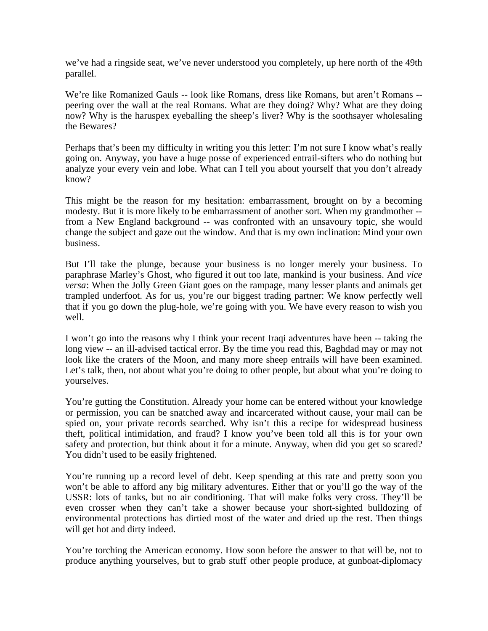we've had a ringside seat, we've never understood you completely, up here north of the 49th parallel.

We're like Romanized Gauls -- look like Romans, dress like Romans, but aren't Romans - peering over the wall at the real Romans. What are they doing? Why? What are they doing now? Why is the haruspex eyeballing the sheep's liver? Why is the soothsayer wholesaling the Bewares?

Perhaps that's been my difficulty in writing you this letter: I'm not sure I know what's really going on. Anyway, you have a huge posse of experienced entrail-sifters who do nothing but analyze your every vein and lobe. What can I tell you about yourself that you don't already know?

This might be the reason for my hesitation: embarrassment, brought on by a becoming modesty. But it is more likely to be embarrassment of another sort. When my grandmother - from a New England background -- was confronted with an unsavoury topic, she would change the subject and gaze out the window. And that is my own inclination: Mind your own business.

But I'll take the plunge, because your business is no longer merely your business. To paraphrase Marley's Ghost, who figured it out too late, mankind is your business. And *vice versa*: When the Jolly Green Giant goes on the rampage, many lesser plants and animals get trampled underfoot. As for us, you're our biggest trading partner: We know perfectly well that if you go down the plug-hole, we're going with you. We have every reason to wish you well.

I won't go into the reasons why I think your recent Iraqi adventures have been -- taking the long view -- an ill-advised tactical error. By the time you read this, Baghdad may or may not look like the craters of the Moon, and many more sheep entrails will have been examined. Let's talk, then, not about what you're doing to other people, but about what you're doing to yourselves.

You're gutting the Constitution. Already your home can be entered without your knowledge or permission, you can be snatched away and incarcerated without cause, your mail can be spied on, your private records searched. Why isn't this a recipe for widespread business theft, political intimidation, and fraud? I know you've been told all this is for your own safety and protection, but think about it for a minute. Anyway, when did you get so scared? You didn't used to be easily frightened.

You're running up a record level of debt. Keep spending at this rate and pretty soon you won't be able to afford any big military adventures. Either that or you'll go the way of the USSR: lots of tanks, but no air conditioning. That will make folks very cross. They'll be even crosser when they can't take a shower because your short-sighted bulldozing of environmental protections has dirtied most of the water and dried up the rest. Then things will get hot and dirty indeed.

You're torching the American economy. How soon before the answer to that will be, not to produce anything yourselves, but to grab stuff other people produce, at gunboat-diplomacy